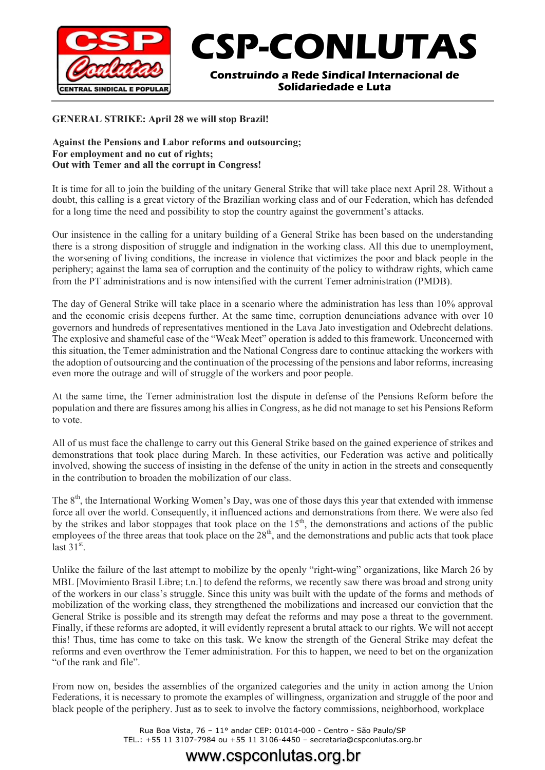

# **CSP-CONLUTAS**

**Construindo a Rede Sindical Internacional de Solidariedade e Luta**

#### **GENERAL STRIKE: April 28 we will stop Brazil!**

#### **Against the Pensions and Labor reforms and outsourcing; For employment and no cut of rights; Out with Temer and all the corrupt in Congress!**

It is time for all to join the building of the unitary General Strike that will take place next April 28. Without a doubt, this calling is a great victory of the Brazilian working class and of our Federation, which has defended for a long time the need and possibility to stop the country against the government's attacks.

Our insistence in the calling for a unitary building of a General Strike has been based on the understanding there is a strong disposition of struggle and indignation in the working class. All this due to unemployment, the worsening of living conditions, the increase in violence that victimizes the poor and black people in the periphery; against the lama sea of corruption and the continuity of the policy to withdraw rights, which came from the PT administrations and is now intensified with the current Temer administration (PMDB).

The day of General Strike will take place in a scenario where the administration has less than 10% approval and the economic crisis deepens further. At the same time, corruption denunciations advance with over 10 governors and hundreds of representatives mentioned in the Lava Jato investigation and Odebrecht delations. The explosive and shameful case of the "Weak Meet" operation is added to this framework. Unconcerned with this situation, the Temer administration and the National Congress dare to continue attacking the workers with the adoption of outsourcing and the continuation of the processing of the pensions and labor reforms, increasing even more the outrage and will of struggle of the workers and poor people.

At the same time, the Temer administration lost the dispute in defense of the Pensions Reform before the population and there are fissures among his allies in Congress, as he did not manage to set his Pensions Reform to vote.

All of us must face the challenge to carry out this General Strike based on the gained experience of strikes and demonstrations that took place during March. In these activities, our Federation was active and politically involved, showing the success of insisting in the defense of the unity in action in the streets and consequently in the contribution to broaden the mobilization of our class.

The 8<sup>th</sup>, the International Working Women's Day, was one of those days this year that extended with immense force all over the world. Consequently, it influenced actions and demonstrations from there. We were also fed by the strikes and labor stoppages that took place on the  $15<sup>th</sup>$ , the demonstrations and actions of the public employees of the three areas that took place on the  $28<sup>th</sup>$ , and the demonstrations and public acts that took place last  $31<sup>st</sup>$ .

Unlike the failure of the last attempt to mobilize by the openly "right-wing" organizations, like March 26 by MBL [Movimiento Brasil Libre; t.n.] to defend the reforms, we recently saw there was broad and strong unity of the workers in our class's struggle. Since this unity was built with the update of the forms and methods of mobilization of the working class, they strengthened the mobilizations and increased our conviction that the General Strike is possible and its strength may defeat the reforms and may pose a threat to the government. Finally, if these reforms are adopted, it will evidently represent a brutal attack to our rights. We will not accept this! Thus, time has come to take on this task. We know the strength of the General Strike may defeat the reforms and even overthrow the Temer administration. For this to happen, we need to bet on the organization "of the rank and file".

From now on, besides the assemblies of the organized categories and the unity in action among the Union Federations, it is necessary to promote the examples of willingness, organization and struggle of the poor and black people of the periphery. Just as to seek to involve the factory commissions, neighborhood, workplace

> Rua Boa Vista, 76 – 11° andar CEP: 01014-000 - Centro - São Paulo/SP TEL.: +55 11 3107-7984 ou +55 11 3106-4450 – secretaria@cspconlutas.org.br

## www.cspconlutas.org.br